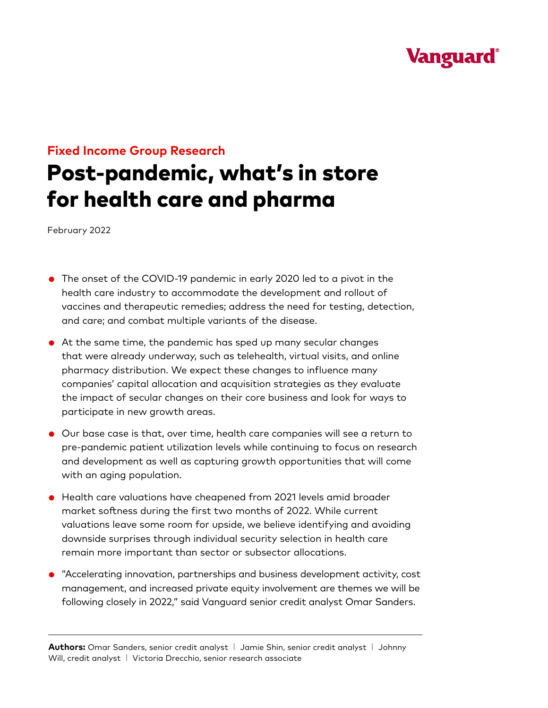## **Vanguard**

## **Fixed Income Group Research**

# Post-pandemic, what's in store for health care and pharma

February 2022

- The onset of the COVID-19 pandemic in early 2020 led to a pivot in the health care industry to accommodate the development and rollout of vaccines and therapeutic remedies; address the need for testing, detection, and care; and combat multiple variants of the disease.
- At the same time, the pandemic has sped up many secular changes that were already underway, such as telehealth, virtual visits, and online pharmacy distribution. We expect these changes to influence many companies' capital allocation and acquisition strategies as they evaluate the impact of secular changes on their core business and look for ways to participate in new growth areas.
- Our base case is that, over time, health care companies will see a return to pre-pandemic patient utilization levels while continuing to focus on research and development as well as capturing growth opportunities that will come with an aging population.
- Health care valuations have cheapened from 2021 levels amid broader market softness during the first two months of 2022. While current valuations leave some room for upside, we believe identifying and avoiding downside surprises through individual security selection in health care remain more important than sector or subsector allocations.
- "Accelerating innovation, partnerships and business development activity, cost management, and increased private equity involvement are themes we will be following closely in 2022," said Vanguard senior credit analyst Omar Sanders.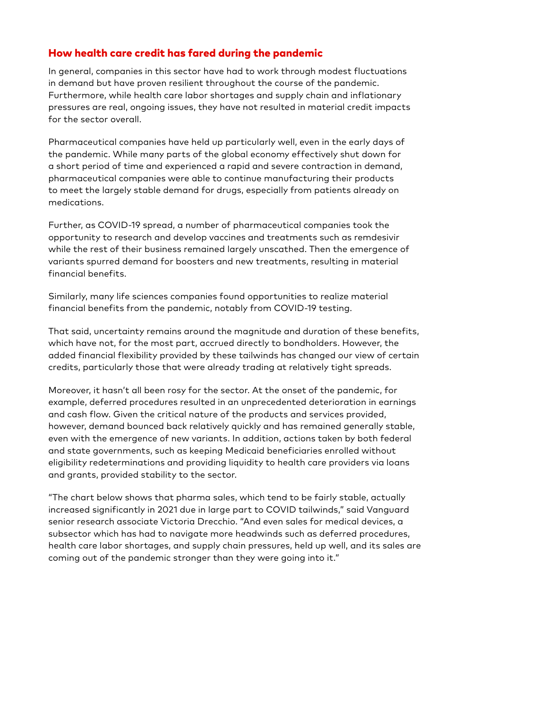#### How health care credit has fared during the pandemic

In general, companies in this sector have had to work through modest fluctuations in demand but have proven resilient throughout the course of the pandemic. Furthermore, while health care labor shortages and supply chain and inflationary pressures are real, ongoing issues, they have not resulted in material credit impacts for the sector overall.

Pharmaceutical companies have held up particularly well, even in the early days of the pandemic. While many parts of the global economy effectively shut down for a short period of time and experienced a rapid and severe contraction in demand, pharmaceutical companies were able to continue manufacturing their products to meet the largely stable demand for drugs, especially from patients already on medications.

Further, as COVID-19 spread, a number of pharmaceutical companies took the opportunity to research and develop vaccines and treatments such as remdesivir while the rest of their business remained largely unscathed. Then the emergence of variants spurred demand for boosters and new treatments, resulting in material financial benefits.

Similarly, many life sciences companies found opportunities to realize material financial benefits from the pandemic, notably from COVID-19 testing.

That said, uncertainty remains around the magnitude and duration of these benefits, which have not, for the most part, accrued directly to bondholders. However, the added financial flexibility provided by these tailwinds has changed our view of certain credits, particularly those that were already trading at relatively tight spreads.

Moreover, it hasn't all been rosy for the sector. At the onset of the pandemic, for example, deferred procedures resulted in an unprecedented deterioration in earnings and cash flow. Given the critical nature of the products and services provided, however, demand bounced back relatively quickly and has remained generally stable, even with the emergence of new variants. In addition, actions taken by both federal and state governments, such as keeping Medicaid beneficiaries enrolled without eligibility redeterminations and providing liquidity to health care providers via loans and grants, provided stability to the sector.

"The chart below shows that pharma sales, which tend to be fairly stable, actually increased significantly in 2021 due in large part to COVID tailwinds," said Vanguard senior research associate Victoria Drecchio. "And even sales for medical devices, a subsector which has had to navigate more headwinds such as deferred procedures, health care labor shortages, and supply chain pressures, held up well, and its sales are coming out of the pandemic stronger than they were going into it."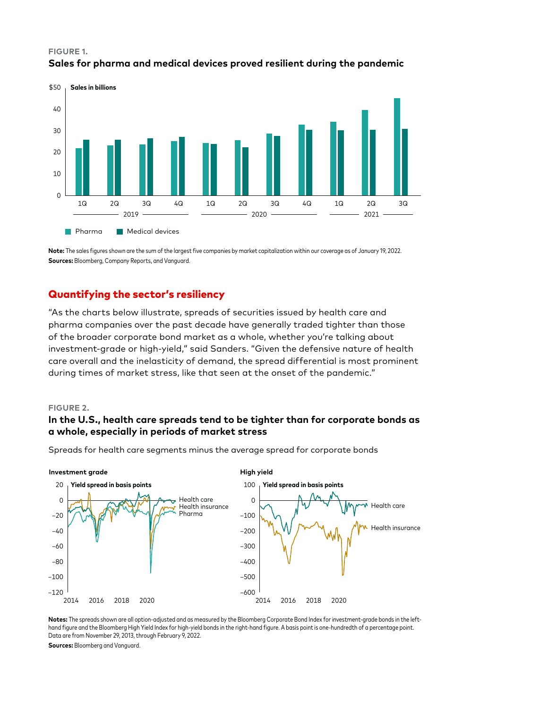#### **FIGURE 1. Sales for pharma and medical devices proved resilient during the pandemic**



**Note:** The sales figures shown are the sum of the largest five companies by market capitalization within our coverage as of January 19, 2022. **Sources:** Bloomberg, Company Reports, and Vanguard.

## Quantifying the sector's resiliency

"As the charts below illustrate, spreads of securities issued by health care and pharma companies over the past decade have generally traded tighter than those of the broader corporate bond market as a whole, whether you're talking about investment-grade or high-yield," said Sanders. "Given the defensive nature of health care overall and the inelasticity of demand, the spread differential is most prominent during times of market stress, like that seen at the onset of the pandemic."

#### **FIGURE 2.**

## **In the U.S., health care spreads tend to be tighter than for corporate bonds as a whole, especially in periods of market stress**

Spreads for health care segments minus the average spread for corporate bonds



**Notes:** The spreads shown are all option-adjusted and as measured by the Bloomberg Corporate Bond Index for investment-grade bonds in the lefthand figure and the Bloomberg High Yield Index for high-yield bonds in the right-hand figure. A basis point is one-hundredth of a percentage point. Data are from November 29, 2013, through February 9, 2022.

**Sources:** Bloomberg and Vanguard.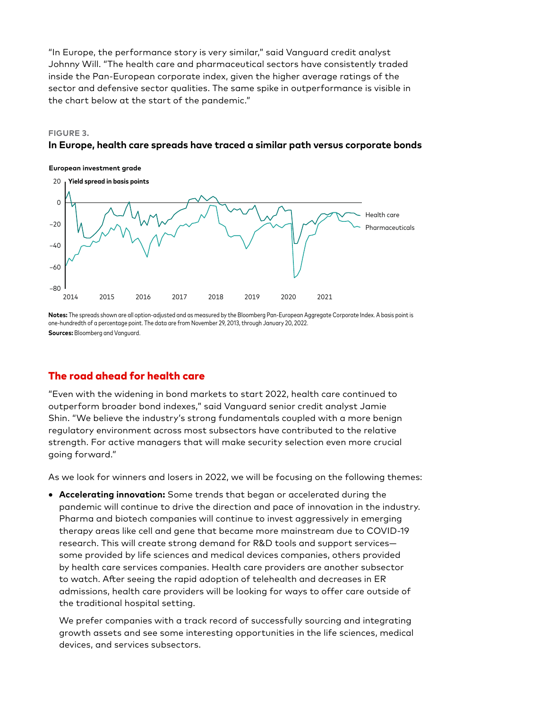"In Europe, the performance story is very similar," said Vanguard credit analyst Johnny Will. "The health care and pharmaceutical sectors have consistently traded inside the Pan-European corporate index, given the higher average ratings of the sector and defensive sector qualities. The same spike in outperformance is visible in the chart below at the start of the pandemic."

#### **FIGURE 3.**

#### **In Europe, health care spreads have traced a similar path versus corporate bonds**



**Notes:** The spreads shown are all option-adjusted and as measured by the Bloomberg Pan-European Aggregate Corporate Index. A basis point is one-hundredth of a percentage point. The data are from November 29, 2013, through January 20, 2022. **Sources:** Bloomberg and Vanguard.

## The road ahead for health care

"Even with the widening in bond markets to start 2022, health care continued to outperform broader bond indexes," said Vanguard senior credit analyst Jamie Shin. "We believe the industry's strong fundamentals coupled with a more benign regulatory environment across most subsectors have contributed to the relative strength. For active managers that will make security selection even more crucial going forward."

As we look for winners and losers in 2022, we will be focusing on the following themes:

• **Accelerating innovation:** Some trends that began or accelerated during the pandemic will continue to drive the direction and pace of innovation in the industry. Pharma and biotech companies will continue to invest aggressively in emerging therapy areas like cell and gene that became more mainstream due to COVID-19 research. This will create strong demand for R&D tools and support services some provided by life sciences and medical devices companies, others provided by health care services companies. Health care providers are another subsector to watch. After seeing the rapid adoption of telehealth and decreases in ER admissions, health care providers will be looking for ways to offer care outside of the traditional hospital setting.

 We prefer companies with a track record of successfully sourcing and integrating growth assets and see some interesting opportunities in the life sciences, medical devices, and services subsectors.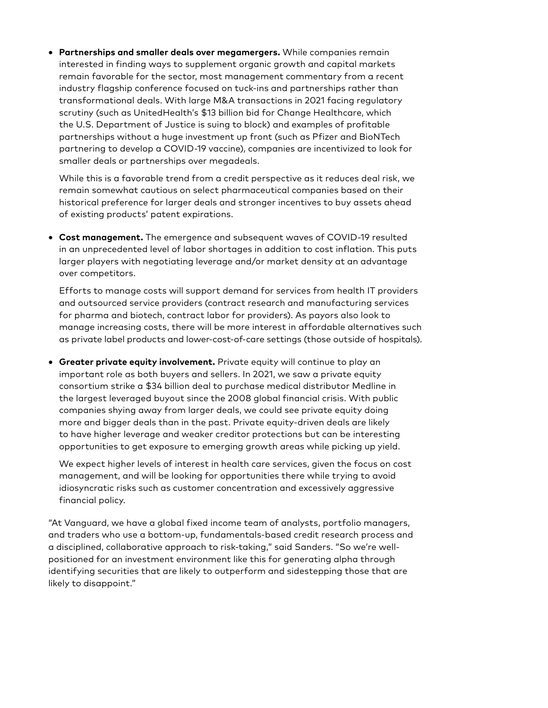• **Partnerships and smaller deals over megamergers.** While companies remain interested in finding ways to supplement organic growth and capital markets remain favorable for the sector, most management commentary from a recent industry flagship conference focused on tuck-ins and partnerships rather than transformational deals. With large M&A transactions in 2021 facing regulatory scrutiny (such as UnitedHealth's \$13 billion bid for Change Healthcare, which the U.S. Department of Justice is suing to block) and examples of profitable partnerships without a huge investment up front (such as Pfizer and BioNTech partnering to develop a COVID-19 vaccine), companies are incentivized to look for smaller deals or partnerships over megadeals.

 While this is a favorable trend from a credit perspective as it reduces deal risk, we remain somewhat cautious on select pharmaceutical companies based on their historical preference for larger deals and stronger incentives to buy assets ahead of existing products' patent expirations.

• **Cost management.** The emergence and subsequent waves of COVID-19 resulted in an unprecedented level of labor shortages in addition to cost inflation. This puts larger players with negotiating leverage and/or market density at an advantage over competitors.

 Efforts to manage costs will support demand for services from health IT providers and outsourced service providers (contract research and manufacturing services for pharma and biotech, contract labor for providers). As payors also look to manage increasing costs, there will be more interest in affordable alternatives such as private label products and lower-cost-of-care settings (those outside of hospitals).

• **Greater private equity involvement.** Private equity will continue to play an important role as both buyers and sellers. In 2021, we saw a private equity consortium strike a \$34 billion deal to purchase medical distributor Medline in the largest leveraged buyout since the 2008 global financial crisis. With public companies shying away from larger deals, we could see private equity doing more and bigger deals than in the past. Private equity-driven deals are likely to have higher leverage and weaker creditor protections but can be interesting opportunities to get exposure to emerging growth areas while picking up yield.

 We expect higher levels of interest in health care services, given the focus on cost management, and will be looking for opportunities there while trying to avoid idiosyncratic risks such as customer concentration and excessively aggressive financial policy.

"At Vanguard, we have a global fixed income team of analysts, portfolio managers, and traders who use a bottom-up, fundamentals-based credit research process and a disciplined, collaborative approach to risk-taking," said Sanders. "So we're wellpositioned for an investment environment like this for generating alpha through identifying securities that are likely to outperform and sidestepping those that are likely to disappoint."